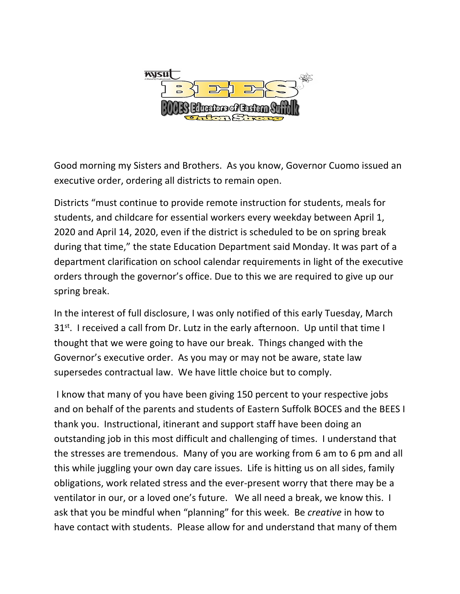

Good morning my Sisters and Brothers. As you know, Governor Cuomo issued an executive order, ordering all districts to remain open.

Districts "must continue to provide remote instruction for students, meals for students, and childcare for essential workers every weekday between April 1, 2020 and April 14, 2020, even if the district is scheduled to be on spring break during that time," the state Education Department said Monday. It was part of a department clarification on school calendar requirements in light of the executive orders through the governor's office. Due to this we are required to give up our spring break.

In the interest of full disclosure, I was only notified of this early Tuesday, March  $31<sup>st</sup>$ . I received a call from Dr. Lutz in the early afternoon. Up until that time I thought that we were going to have our break. Things changed with the Governor's executive order. As you may or may not be aware, state law supersedes contractual law. We have little choice but to comply.

I know that many of you have been giving 150 percent to your respective jobs and on behalf of the parents and students of Eastern Suffolk BOCES and the BEES I thank you. Instructional, itinerant and support staff have been doing an outstanding job in this most difficult and challenging of times. I understand that the stresses are tremendous. Many of you are working from 6 am to 6 pm and all this while juggling your own day care issues. Life is hitting us on all sides, family obligations, work related stress and the ever-present worry that there may be a ventilator in our, or a loved one's future. We all need a break, we know this. I ask that you be mindful when "planning" for this week. Be *creative* in how to have contact with students. Please allow for and understand that many of them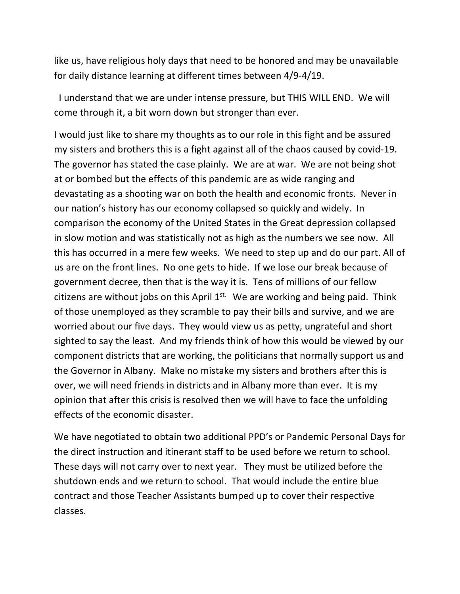like us, have religious holy days that need to be honored and may be unavailable for daily distance learning at different times between 4/9-4/19.

I understand that we are under intense pressure, but THIS WILL END. We will come through it, a bit worn down but stronger than ever.

I would just like to share my thoughts as to our role in this fight and be assured my sisters and brothers this is a fight against all of the chaos caused by covid-19. The governor has stated the case plainly. We are at war. We are not being shot at or bombed but the effects of this pandemic are as wide ranging and devastating as a shooting war on both the health and economic fronts. Never in our nation's history has our economy collapsed so quickly and widely. In comparison the economy of the United States in the Great depression collapsed in slow motion and was statistically not as high as the numbers we see now. All this has occurred in a mere few weeks. We need to step up and do our part. All of us are on the front lines. No one gets to hide. If we lose our break because of government decree, then that is the way it is. Tens of millions of our fellow citizens are without jobs on this April  $1^{st.}$  We are working and being paid. Think of those unemployed as they scramble to pay their bills and survive, and we are worried about our five days. They would view us as petty, ungrateful and short sighted to say the least. And my friends think of how this would be viewed by our component districts that are working, the politicians that normally support us and the Governor in Albany. Make no mistake my sisters and brothers after this is over, we will need friends in districts and in Albany more than ever. It is my opinion that after this crisis is resolved then we will have to face the unfolding effects of the economic disaster.

We have negotiated to obtain two additional PPD's or Pandemic Personal Days for the direct instruction and itinerant staff to be used before we return to school. These days will not carry over to next year. They must be utilized before the shutdown ends and we return to school. That would include the entire blue contract and those Teacher Assistants bumped up to cover their respective classes.